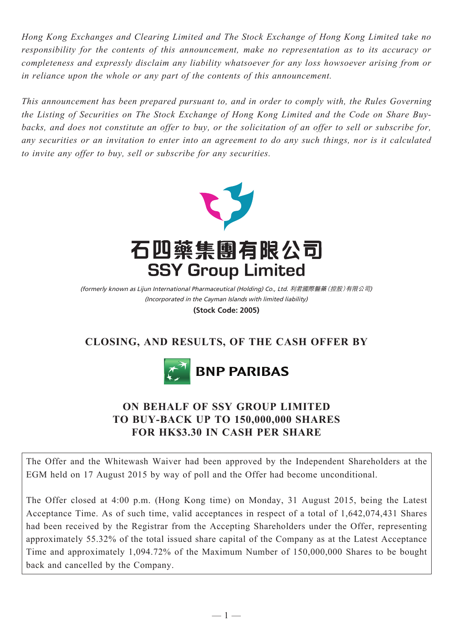*Hong Kong Exchanges and Clearing Limited and The Stock Exchange of Hong Kong Limited take no responsibility for the contents of this announcement, make no representation as to its accuracy or completeness and expressly disclaim any liability whatsoever for any loss howsoever arising from or in reliance upon the whole or any part of the contents of this announcement.*

*This announcement has been prepared pursuant to, and in order to comply with, the Rules Governing the Listing of Securities on The Stock Exchange of Hong Kong Limited and the Code on Share Buybacks, and does not constitute an offer to buy, or the solicitation of an offer to sell or subscribe for, any securities or an invitation to enter into an agreement to do any such things, nor is it calculated to invite any offer to buy, sell or subscribe for any securities.*



(Incorporated in the Cayman Islands with limited liability) (formerly known as Lijun International Pharmaceutical (Holding) Co., Ltd. 利君國際醫藥(控股)有限公司) **(Stock Code: 2005)**

# **CLOSING, AND RESULTS, OF THE CASH OFFER BY**



## **ON BEHALF OF SSY GROUP LIMITED TO BUY-BACK UP TO 150,000,000 SHARES FOR HK\$3.30 IN CASH PER SHARE**

The Offer and the Whitewash Waiver had been approved by the Independent Shareholders at the EGM held on 17 August 2015 by way of poll and the Offer had become unconditional.

The Offer closed at 4:00 p.m. (Hong Kong time) on Monday, 31 August 2015, being the Latest Acceptance Time. As of such time, valid acceptances in respect of a total of 1,642,074,431 Shares had been received by the Registrar from the Accepting Shareholders under the Offer, representing approximately 55.32% of the total issued share capital of the Company as at the Latest Acceptance Time and approximately 1,094.72% of the Maximum Number of 150,000,000 Shares to be bought back and cancelled by the Company.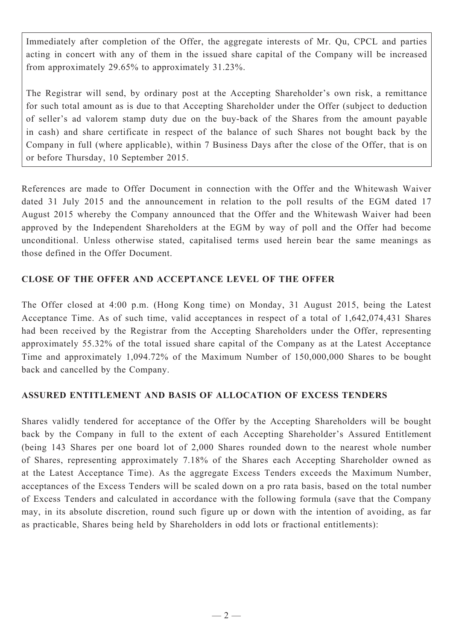Immediately after completion of the Offer, the aggregate interests of Mr. Qu, CPCL and parties acting in concert with any of them in the issued share capital of the Company will be increased from approximately 29.65% to approximately 31.23%.

The Registrar will send, by ordinary post at the Accepting Shareholder's own risk, a remittance for such total amount as is due to that Accepting Shareholder under the Offer (subject to deduction of seller's ad valorem stamp duty due on the buy-back of the Shares from the amount payable in cash) and share certificate in respect of the balance of such Shares not bought back by the Company in full (where applicable), within 7 Business Days after the close of the Offer, that is on or before Thursday, 10 September 2015.

References are made to Offer Document in connection with the Offer and the Whitewash Waiver dated 31 July 2015 and the announcement in relation to the poll results of the EGM dated 17 August 2015 whereby the Company announced that the Offer and the Whitewash Waiver had been approved by the Independent Shareholders at the EGM by way of poll and the Offer had become unconditional. Unless otherwise stated, capitalised terms used herein bear the same meanings as those defined in the Offer Document.

## **CLOSE OF THE OFFER AND ACCEPTANCE LEVEL OF THE OFFER**

The Offer closed at 4:00 p.m. (Hong Kong time) on Monday, 31 August 2015, being the Latest Acceptance Time. As of such time, valid acceptances in respect of a total of 1,642,074,431 Shares had been received by the Registrar from the Accepting Shareholders under the Offer, representing approximately 55.32% of the total issued share capital of the Company as at the Latest Acceptance Time and approximately 1,094.72% of the Maximum Number of 150,000,000 Shares to be bought back and cancelled by the Company.

## **ASSURED ENTITLEMENT AND BASIS OF ALLOCATION OF EXCESS TENDERS**

Shares validly tendered for acceptance of the Offer by the Accepting Shareholders will be bought back by the Company in full to the extent of each Accepting Shareholder's Assured Entitlement (being 143 Shares per one board lot of 2,000 Shares rounded down to the nearest whole number of Shares, representing approximately 7.18% of the Shares each Accepting Shareholder owned as at the Latest Acceptance Time). As the aggregate Excess Tenders exceeds the Maximum Number, acceptances of the Excess Tenders will be scaled down on a pro rata basis, based on the total number of Excess Tenders and calculated in accordance with the following formula (save that the Company may, in its absolute discretion, round such figure up or down with the intention of avoiding, as far as practicable, Shares being held by Shareholders in odd lots or fractional entitlements):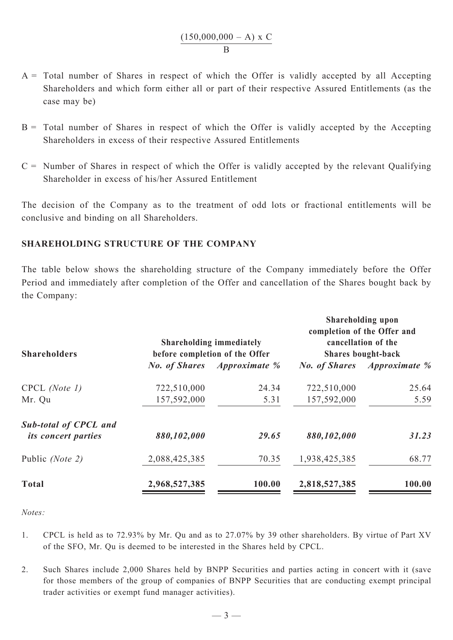$$
\frac{(150,000,000 - A) \times C}{B}
$$

- $A =$  Total number of Shares in respect of which the Offer is validly accepted by all Accepting Shareholders and which form either all or part of their respective Assured Entitlements (as the case may be)
- $B =$  Total number of Shares in respect of which the Offer is validly accepted by the Accepting Shareholders in excess of their respective Assured Entitlements
- $C =$  Number of Shares in respect of which the Offer is validly accepted by the relevant Qualifying Shareholder in excess of his/her Assured Entitlement

The decision of the Company as to the treatment of odd lots or fractional entitlements will be conclusive and binding on all Shareholders.

### **SHAREHOLDING STRUCTURE OF THE COMPANY**

The table below shows the shareholding structure of the Company immediately before the Offer Period and immediately after completion of the Offer and cancellation of the Shares bought back by the Company:

| <b>Shareholders</b>                                        | <b>Shareholding immediately</b><br>before completion of the Offer |                                    | <b>Shareholding upon</b><br>completion of the Offer and<br>cancellation of the<br><b>Shares bought-back</b> |                                    |
|------------------------------------------------------------|-------------------------------------------------------------------|------------------------------------|-------------------------------------------------------------------------------------------------------------|------------------------------------|
|                                                            |                                                                   | <b>No. of Shares</b> Approximate % |                                                                                                             | <b>No. of Shares</b> Approximate % |
| $C PCL$ (Note 1)                                           | 722,510,000                                                       | 24.34                              | 722,510,000                                                                                                 | 25.64                              |
| Mr. Qu                                                     | 157,592,000                                                       | 5.31                               | 157,592,000                                                                                                 | 5.59                               |
| <b>Sub-total of CPCL and</b><br><i>its concert parties</i> | 880,102,000                                                       | 29.65                              | 880,102,000                                                                                                 | 31.23                              |
| Public (Note 2)                                            | 2,088,425,385                                                     | 70.35                              | 1,938,425,385                                                                                               | 68.77                              |
| <b>Total</b>                                               | 2,968,527,385                                                     | 100.00                             | 2,818,527,385                                                                                               | 100.00                             |

*Notes:*

- 1. CPCL is held as to 72.93% by Mr. Qu and as to 27.07% by 39 other shareholders. By virtue of Part XV of the SFO, Mr. Qu is deemed to be interested in the Shares held by CPCL.
- 2. Such Shares include 2,000 Shares held by BNPP Securities and parties acting in concert with it (save for those members of the group of companies of BNPP Securities that are conducting exempt principal trader activities or exempt fund manager activities).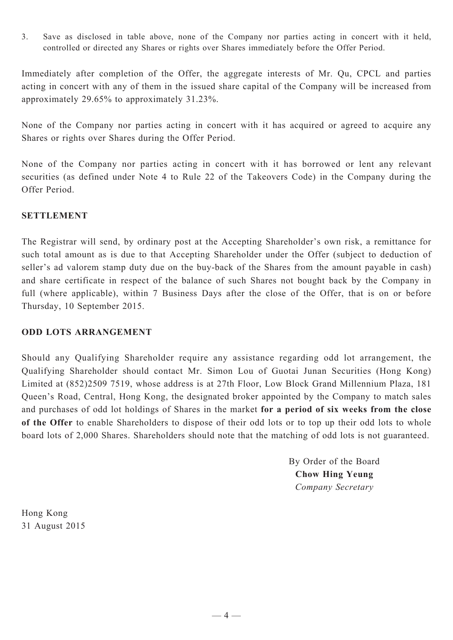3. Save as disclosed in table above, none of the Company nor parties acting in concert with it held, controlled or directed any Shares or rights over Shares immediately before the Offer Period.

Immediately after completion of the Offer, the aggregate interests of Mr. Qu, CPCL and parties acting in concert with any of them in the issued share capital of the Company will be increased from approximately 29.65% to approximately 31.23%.

None of the Company nor parties acting in concert with it has acquired or agreed to acquire any Shares or rights over Shares during the Offer Period.

None of the Company nor parties acting in concert with it has borrowed or lent any relevant securities (as defined under Note 4 to Rule 22 of the Takeovers Code) in the Company during the Offer Period.

### **SETTLEMENT**

The Registrar will send, by ordinary post at the Accepting Shareholder's own risk, a remittance for such total amount as is due to that Accepting Shareholder under the Offer (subject to deduction of seller's ad valorem stamp duty due on the buy-back of the Shares from the amount payable in cash) and share certificate in respect of the balance of such Shares not bought back by the Company in full (where applicable), within 7 Business Days after the close of the Offer, that is on or before Thursday, 10 September 2015.

#### **ODD LOTS ARRANGEMENT**

Should any Qualifying Shareholder require any assistance regarding odd lot arrangement, the Qualifying Shareholder should contact Mr. Simon Lou of Guotai Junan Securities (Hong Kong) Limited at (852)2509 7519, whose address is at 27th Floor, Low Block Grand Millennium Plaza, 181 Queen's Road, Central, Hong Kong, the designated broker appointed by the Company to match sales and purchases of odd lot holdings of Shares in the market **for a period of six weeks from the close of the Offer** to enable Shareholders to dispose of their odd lots or to top up their odd lots to whole board lots of 2,000 Shares. Shareholders should note that the matching of odd lots is not guaranteed.

> By Order of the Board **Chow Hing Yeung** *Company Secretary*

Hong Kong 31 August 2015